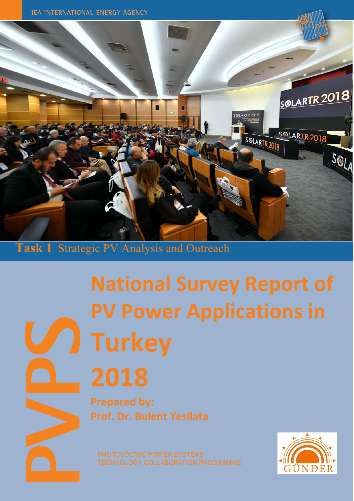

#### Task 1 **Strategic PV Analysis and Outreach**

# **National Survey Report of PV Power Applications in Turkey**

# 2018

**Prepared by:** Prof. Dr. Bulent Yesilata

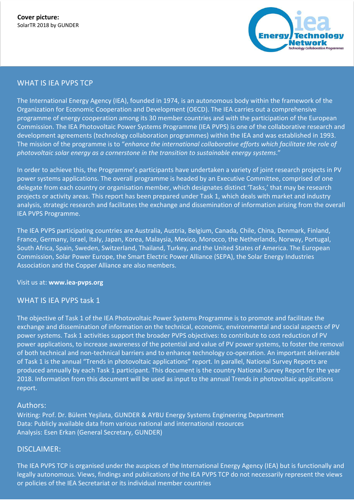

### WHAT IS IEA PVPS TCP

The International Energy Agency (IEA), founded in 1974, is an autonomous body within the framework of the Organization for Economic Cooperation and Development (OECD). The IEA carries out a comprehensive programme of energy cooperation among its 30 member countries and with the participation of the European Commission. The IEA Photovoltaic Power Systems Programme (IEA PVPS) is one of the collaborative research and development agreements (technology collaboration programmes) within the IEA and was established in 1993. The mission of the programme is to "*enhance the international collaborative efforts which facilitate the role of photovoltaic solar energy as a cornerstone in the transition to sustainable energy systems*."

In order to achieve this, the Programme's participants have undertaken a variety of joint research projects in PV power systems applications. The overall programme is headed by an Executive Committee, comprised of one delegate from each country or organisation member, which designates distinct 'Tasks,' that may be research projects or activity areas. This report has been prepared under Task 1, which deals with market and industry analysis, strategic research and facilitates the exchange and dissemination of information arising from the overall IEA PVPS Programme.

The IEA PVPS participating countries are Australia, Austria, Belgium, Canada, Chile, China, Denmark, Finland, France, Germany, Israel, Italy, Japan, Korea, Malaysia, Mexico, Morocco, the Netherlands, Norway, Portugal, South Africa, Spain, Sweden, Switzerland, Thailand, Turkey, and the United States of America. The European Commission, Solar Power Europe, the Smart Electric Power Alliance (SEPA), the Solar Energy Industries Association and the Copper Alliance are also members.

#### Visit us at: **www.iea-pvps.org**

#### WHAT IS IEA PVPS task 1

The objective of Task 1 of the IEA Photovoltaic Power Systems Programme is to promote and facilitate the exchange and dissemination of information on the technical, economic, environmental and social aspects of PV power systems. Task 1 activities support the broader PVPS objectives: to contribute to cost reduction of PV power applications, to increase awareness of the potential and value of PV power systems, to foster the removal of both technical and non-technical barriers and to enhance technology co-operation. An important deliverable of Task 1 is the annual "Trends in photovoltaic applications" report. In parallel, National Survey Reports are produced annually by each Task 1 participant. This document is the country National Survey Report for the year 2018. Information from this document will be used as input to the annual Trends in photovoltaic applications report.

#### Authors:

Writing: Prof. Dr. Bülent Yeşilata, GUNDER & AYBU Energy Systems Engineering Department Data: Publicly available data from various national and international resources Analysis: Esen Erkan (General Secretary, GUNDER)

#### DISCLAIMER:

legally autonomous. Views, findings and publications of the IEA PVPS TCP do not necessarily represent the views The IEA PVPS TCP is organised under the auspices of the International Energy Agency (IEA) but is functionally and or policies of the IEA Secretariat or its individual member countries

Data for non-IEA PVPS countries are provided by official contacts or experts in the relevant countries.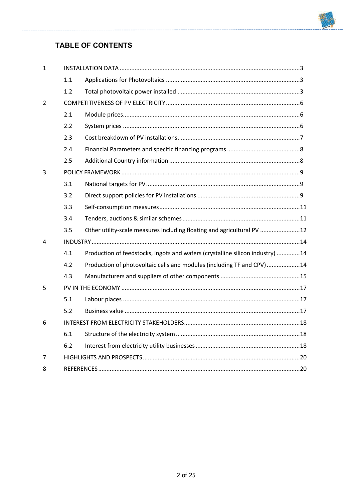# **TABLE OF CONTENTS**

-----------------------

| $\mathbf 1$ |     |                                                                               |  |
|-------------|-----|-------------------------------------------------------------------------------|--|
|             | 1.1 |                                                                               |  |
|             | 1.2 |                                                                               |  |
| 2           |     |                                                                               |  |
|             | 2.1 |                                                                               |  |
|             | 2.2 |                                                                               |  |
|             | 2.3 |                                                                               |  |
|             | 2.4 |                                                                               |  |
|             | 2.5 |                                                                               |  |
| 3           |     |                                                                               |  |
|             | 3.1 |                                                                               |  |
|             | 3.2 |                                                                               |  |
|             | 3.3 |                                                                               |  |
|             | 3.4 |                                                                               |  |
|             | 3.5 | Other utility-scale measures including floating and agricultural PV 12        |  |
| 4           |     |                                                                               |  |
|             | 4.1 | Production of feedstocks, ingots and wafers (crystalline silicon industry) 14 |  |
|             | 4.2 | Production of photovoltaic cells and modules (including TF and CPV) 14        |  |
|             | 4.3 |                                                                               |  |
| 5           |     |                                                                               |  |
|             | 5.1 |                                                                               |  |
|             | 5.2 |                                                                               |  |
| 6           |     |                                                                               |  |
|             | 6.1 |                                                                               |  |
|             | 6.2 |                                                                               |  |
| 7           |     |                                                                               |  |
| 8           |     |                                                                               |  |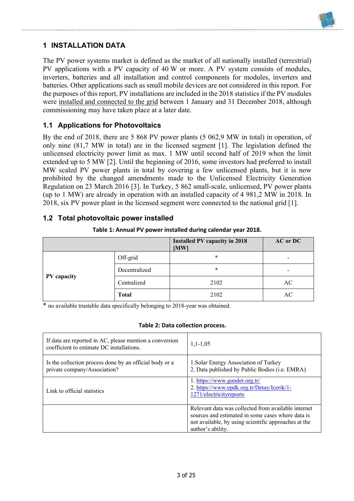

# **1 INSTALLATION DATA**

The PV power systems market is defined as the market of all nationally installed (terrestrial) PV applications with a PV capacity of 40 W or more. A PV system consists of modules, inverters, batteries and all installation and control components for modules, inverters and batteries. Other applications such as small mobile devices are not considered in this report. For the purposes of this report, PV installations are included in the 2018 statistics if the PV modules were installed and connected to the grid between 1 January and 31 December 2018, although commissioning may have taken place at a later date.

#### **1.1 Applications for Photovoltaics**

By the end of 2018, there are 5 868 PV power plants (5 062,9 MW in total) in operation, of only nine (81,7 MW in total) are in the licensed segment [1]. The legislation defined the unlicensed electricity power limit as max. 1 MW until second half of 2019 when the limit extended up to 5 MW [2]. Until the beginning of 2016, some investors had preferred to install MW scaled PV power plants in total by covering a few unlicensed plants, but it is now prohibited by the changed amendments made to the Unlicensed Electricity Generation Regulation on 23 March 2016 [3]. In Turkey, 5 862 small-scale, unlicensed, PV power plants (up to 1 MW) are already in operation with an installed capacity of 4 981,2 MW in 2018. In 2018, six PV power plant in the licensed segment were connected to the national grid [1].

#### **1.2 Total photovoltaic power installed**

|             |               | <b>Installed PV capacity in 2018</b><br>[MW] | <b>AC</b> or DC          |
|-------------|---------------|----------------------------------------------|--------------------------|
|             | Off-grid      | *                                            | $\overline{\phantom{a}}$ |
|             | Decentralized | *                                            | -                        |
| PV capacity | Centralized   | 2102                                         | AC                       |
|             | <b>Total</b>  | 2102                                         | AC                       |

| Table 1: Annual PV power installed during calendar year 2018. |  |  |  |
|---------------------------------------------------------------|--|--|--|
|---------------------------------------------------------------|--|--|--|

\* no available trustable data specifically belonging to 2018-year was obtained.

#### **Table 2: Data collection process.**

| If data are reported in AC, please mention a conversion<br>coefficient to estimate DC installations. | $1,1-1,05$                                                                                                                                                                            |  |
|------------------------------------------------------------------------------------------------------|---------------------------------------------------------------------------------------------------------------------------------------------------------------------------------------|--|
| Is the collection process done by an official body or a<br>private company/Association?              | 1. Solar Energy Association of Turkey<br>2. Data published by Public Bodies (i.e. EMRA)                                                                                               |  |
| Link to official statistics                                                                          | 1. https://www.gunder.org.tr/<br>2. https://www.epdk.org.tr/Detay/Icerik/1-<br>1271/electricityreports                                                                                |  |
|                                                                                                      | Relevant data was collected from available internet<br>sources and estimated in some cases where data is<br>not available, by using scientific approaches at the<br>author's ability. |  |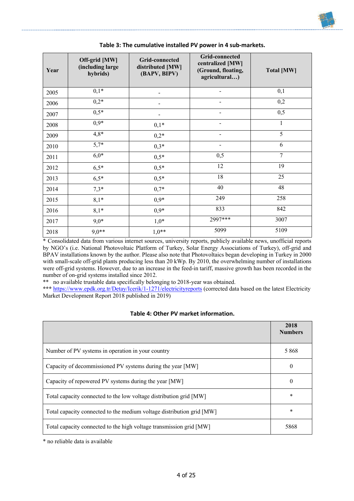

#### **Table 3: The cumulative installed PV power in 4 sub-markets.**

\* Consolidated data from various internet sources, university reports, publicly available news, unofficial reports by NGO's (i.e. National Photovoltaic Platform of Turkey, Solar Energy Associations of Turkey), off-grid and BPAV installations known by the author. Please also note that Photovoltaics began developing in Turkey in 2000 with small-scale off-grid plants producing less than 20 kWp. By 2010, the overwhelming number of installations were off-grid systems. However, due to an increase in the feed-in tariff, massive growth has been recorded in the number of on-grid systems installed since 2012.

\*\* no available trustable data specifically belonging to 2018-year was obtained.

**\*\*\*** https://www.epdk.org.tr/Detay/Icerik/1-1271/electricityreports (corrected data based on the latest Electricity Market Development Report 2018 published in 2019)

| Table 4: Other PV market information. |
|---------------------------------------|
|---------------------------------------|

|                                                                       | 2018<br><b>Numbers</b> |
|-----------------------------------------------------------------------|------------------------|
| Number of PV systems in operation in your country                     | 5868                   |
| Capacity of decommissioned PV systems during the year [MW]            | $\theta$               |
| Capacity of repowered PV systems during the year [MW]                 | $\theta$               |
| Total capacity connected to the low voltage distribution grid [MW]    | *                      |
| Total capacity connected to the medium voltage distribution grid [MW] | *                      |
| Total capacity connected to the high voltage transmission grid [MW]   | 5868                   |

\* no reliable data is available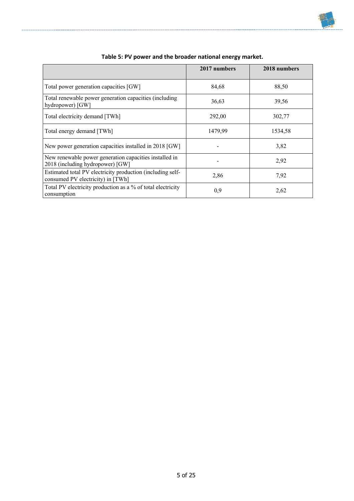

|                                                                                                 | 2017 numbers | 2018 numbers |
|-------------------------------------------------------------------------------------------------|--------------|--------------|
| Total power generation capacities [GW]                                                          | 84,68        | 88,50        |
| Total renewable power generation capacities (including<br>hydropower) [GW]                      | 36,63        | 39,56        |
| Total electricity demand [TWh]                                                                  | 292,00       | 302,77       |
| Total energy demand [TWh]                                                                       | 1479,99      | 1534,58      |
| New power generation capacities installed in 2018 [GW]                                          |              | 3,82         |
| New renewable power generation capacities installed in<br>2018 (including hydropower) [GW]      |              | 2,92         |
| Estimated total PV electricity production (including self-<br>consumed PV electricity) in [TWh] | 2,86         | 7,92         |
| Total PV electricity production as a % of total electricity<br>consumption                      | 0,9          | 2,62         |

| Table 5: PV power and the broader national energy market. |
|-----------------------------------------------------------|
|-----------------------------------------------------------|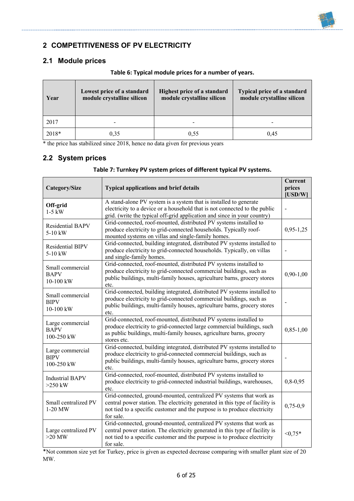# **2 COMPETITIVENESS OF PV ELECTRICITY**

# **2.1 Module prices**

| Year  | Lowest price of a standard<br>module crystalline silicon | Highest price of a standard<br>module crystalline silicon | <b>Typical price of a standard</b><br>module crystalline silicon |
|-------|----------------------------------------------------------|-----------------------------------------------------------|------------------------------------------------------------------|
| 2017  |                                                          |                                                           |                                                                  |
| 2018* | 0,35                                                     | 0.55                                                      | 0.45                                                             |

**Table 6: Typical module prices for a number of years.** 

\* the price has stabilized since 2018, hence no data given for previous years

# **2.2 System prices**

#### **Table 7: Turnkey PV system prices of different typical PV systems.**

| <b>Typical applications and brief details</b><br>Category/Size |                                                                                                                                                                                                                                               | <b>Current</b><br>prices<br>[USD/W] |
|----------------------------------------------------------------|-----------------------------------------------------------------------------------------------------------------------------------------------------------------------------------------------------------------------------------------------|-------------------------------------|
| Off-grid<br>$1-5$ kW                                           | A stand-alone PV system is a system that is installed to generate<br>electricity to a device or a household that is not connected to the public<br>grid. (write the typical off-grid application and since in your country)                   |                                     |
| <b>Residential BAPV</b><br>5-10 kW                             | Grid-connected, roof-mounted, distributed PV systems installed to<br>produce electricity to grid-connected households. Typically roof-<br>mounted systems on villas and single-family homes.                                                  | $0,95-1,25$                         |
| Residential BIPV<br>$5-10$ kW                                  | Grid-connected, building integrated, distributed PV systems installed to<br>produce electricity to grid-connected households. Typically, on villas<br>and single-family homes.                                                                |                                     |
| Small commercial<br><b>BAPV</b><br>10-100 kW                   | Grid-connected, roof-mounted, distributed PV systems installed to<br>produce electricity to grid-connected commercial buildings, such as<br>public buildings, multi-family houses, agriculture barns, grocery stores<br>etc.                  | $0,90-1,00$                         |
| Small commercial<br><b>BIPV</b><br>10-100 kW                   | Grid-connected, building integrated, distributed PV systems installed to<br>produce electricity to grid-connected commercial buildings, such as<br>public buildings, multi-family houses, agriculture barns, grocery stores<br>etc.           |                                     |
| Large commercial<br><b>BAPV</b><br>100-250 kW                  | Grid-connected, roof-mounted, distributed PV systems installed to<br>produce electricity to grid-connected large commercial buildings, such<br>as public buildings, multi-family houses, agriculture barns, grocery<br>stores etc.            | $0,85-1,00$                         |
| Large commercial<br><b>BIPV</b><br>100-250 kW                  | Grid-connected, building integrated, distributed PV systems installed to<br>produce electricity to grid-connected commercial buildings, such as<br>public buildings, multi-family houses, agriculture barns, grocery stores<br>etc.           |                                     |
| <b>Industrial BAPV</b><br>$>250$ kW                            | Grid-connected, roof-mounted, distributed PV systems installed to<br>produce electricity to grid-connected industrial buildings, warehouses,<br>etc.                                                                                          | $0,8-0,95$                          |
| Small centralized PV<br>$1-20$ MW                              | Grid-connected, ground-mounted, centralized PV systems that work as<br>central power station. The electricity generated in this type of facility is<br>not tied to a specific customer and the purpose is to produce electricity<br>for sale. | $0,75-0,9$                          |
| Large centralized PV<br>$>20$ MW                               | Grid-connected, ground-mounted, centralized PV systems that work as<br>central power station. The electricity generated in this type of facility is<br>not tied to a specific customer and the purpose is to produce electricity<br>for sale. | $< 0.75*$                           |

\*Not common size yet for Turkey, price is given as expected decrease comparing with smaller plant size of 20 MW.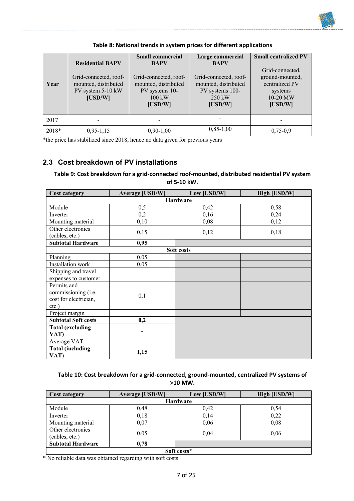

|       |                         | <b>Small commercial</b>  | Large commercial      | <b>Small centralized PV</b> |
|-------|-------------------------|--------------------------|-----------------------|-----------------------------|
|       | <b>Residential BAPV</b> | <b>BAPV</b>              | <b>BAPV</b>           |                             |
|       |                         |                          |                       | Grid-connected,             |
|       | Grid-connected, roof-   | Grid-connected, roof-    | Grid-connected, roof- | ground-mounted,             |
| Year  | mounted, distributed    | mounted, distributed     | mounted, distributed  | centralized PV              |
|       | PV system 5-10 kW       | PV systems 10-           | PV systems 100-       | systems                     |
|       | [USD/W]                 | $100 \text{ kW}$         | $250 \text{ kW}$      | 10-20 MW                    |
|       |                         | [USD/W]                  | [USD/W]               | [USD/W]                     |
|       |                         |                          |                       |                             |
| 2017  |                         | $\overline{\phantom{a}}$ |                       |                             |
| 2018* | $0,95-1,15$             | $0,90-1,00$              | $0,85-1,00$           | $0,75-0,9$                  |

**Table 8: National trends in system prices for different applications**

\*the price has stabilized since 2018, hence no data given for previous years

#### **2.3 Cost breakdown of PV installations**

#### **Table 9: Cost breakdown for a grid-connected roof-mounted, distributed residential PV system of 5-10 kW.**

| <b>Cost category</b>            | <b>Average [USD/W]</b> | Low [USD/W] | High [USD/W] |  |  |  |
|---------------------------------|------------------------|-------------|--------------|--|--|--|
| <b>Hardware</b>                 |                        |             |              |  |  |  |
| Module                          | 0,5                    | 0,42        | 0,58         |  |  |  |
| Inverter                        | 0,2                    | 0,16        | 0,24         |  |  |  |
| Mounting material               | 0,10                   | 0,08        | 0,12         |  |  |  |
| Other electronics               | 0,15                   | 0,12        | 0,18         |  |  |  |
| (cables, etc.)                  |                        |             |              |  |  |  |
| <b>Subtotal Hardware</b>        | 0,95                   |             |              |  |  |  |
|                                 |                        | Soft costs  |              |  |  |  |
| Planning                        | 0,05                   |             |              |  |  |  |
| Installation work               | 0,05                   |             |              |  |  |  |
| Shipping and travel             |                        |             |              |  |  |  |
| expenses to customer            |                        |             |              |  |  |  |
| Permits and                     |                        |             |              |  |  |  |
| commissioning (i.e.             | 0,1                    |             |              |  |  |  |
| cost for electrician,           |                        |             |              |  |  |  |
| $etc.$ )                        |                        |             |              |  |  |  |
| Project margin                  |                        |             |              |  |  |  |
| <b>Subtotal Soft costs</b>      | 0,2                    |             |              |  |  |  |
| <b>Total (excluding</b>         |                        |             |              |  |  |  |
| VAT)                            | -                      |             |              |  |  |  |
| Average VAT                     |                        |             |              |  |  |  |
| <b>Total (including</b><br>VAT) | 1,15                   |             |              |  |  |  |

#### **Table 10: Cost breakdown for a grid-connected, ground-mounted, centralized PV systems of >10 MW.**

| <b>Cost category</b>                | <b>Average [USD/W]</b> | Low [USD/W] | High [USD/W] |  |  |  |
|-------------------------------------|------------------------|-------------|--------------|--|--|--|
| <b>Hardware</b>                     |                        |             |              |  |  |  |
| Module                              | 0,48                   | 0,42        | 0,54         |  |  |  |
| Inverter                            | 0,18                   | 0,14        | 0,22         |  |  |  |
| Mounting material                   | 0,07                   | 0,06        | 0.08         |  |  |  |
| Other electronics<br>(cables, etc.) | 0,05                   | 0.04        | 0.06         |  |  |  |
| <b>Subtotal Hardware</b>            | 0,78                   |             |              |  |  |  |
| Soft costs*                         |                        |             |              |  |  |  |

\* No reliable data was obtained regarding with soft costs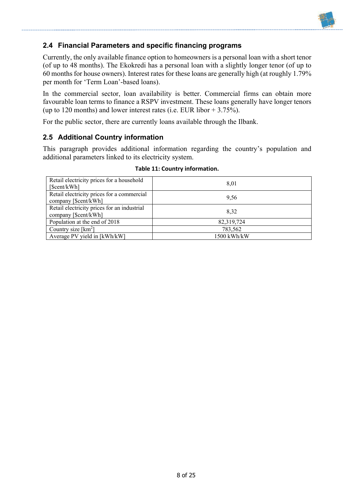# **2.4 Financial Parameters and specific financing programs**

Currently, the only available finance option to homeowners is a personal loan with a short tenor (of up to 48 months). The Ekokredi has a personal loan with a slightly longer tenor (of up to 60 months for house owners). Interest rates for these loans are generally high (at roughly 1.79% per month for 'Term Loan'-based loans).

In the commercial sector, loan availability is better. Commercial firms can obtain more favourable loan terms to finance a RSPV investment. These loans generally have longer tenors (up to 120 months) and lower interest rates (i.e. EUR libor  $+ 3.75\%$ ).

For the public sector, there are currently loans available through the Ilbank.

### **2.5 Additional Country information**

This paragraph provides additional information regarding the country's population and additional parameters linked to its electricity system.

| Retail electricity prices for a household<br>[\$cent/kWh]           | 8.01        |
|---------------------------------------------------------------------|-------------|
| Retail electricity prices for a commercial<br>company [\$cent/kWh]  | 9,56        |
| Retail electricity prices for an industrial<br>company [\$cent/kWh] | 8.32        |
| Population at the end of 2018                                       | 82,319,724  |
| Country size $[km^2]$                                               | 783,562     |
| Average PV yield in [kWh/kW]                                        | 1500 kWh/kW |

#### **Table 11: Country information.**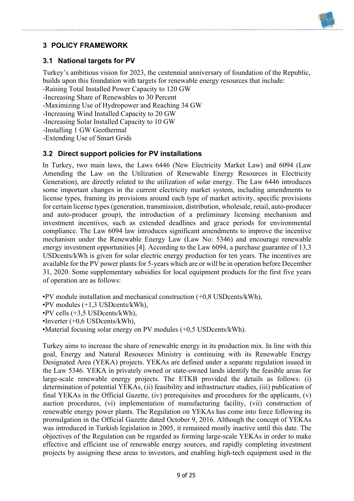# **3 POLICY FRAMEWORK**

# **3.1 National targets for PV**

Turkey's ambitious vision for 2023, the centennial anniversary of foundation of the Republic, builds upon this foundation with targets for renewable energy resources that include:

-Raising Total Installed Power Capacity to 120 GW

-Increasing Share of Renewables to 30 Percent

-Maximizing Use of Hydropower and Reaching 34 GW

-Increasing Wind Installed Capacity to 20 GW

-Increasing Solar Installed Capacity to 10 GW

-Installing 1 GW Geothermal

-Extending Use of Smart Grids

### **3.2 Direct support policies for PV installations**

In Turkey, two main laws, the Laws 6446 (New Electricity Market Law) and 6094 (Law Amending the Law on the Utilization of Renewable Energy Resources in Electricity Generation), are directly related to the utilization of solar energy. The Law 6446 introduces some important changes in the current electricity market system, including amendments to license types, framing its provisions around each type of market activity, specific provisions for certain license types (generation, transmission, distribution, wholesale, retail, auto-producer and auto-producer group), the introduction of a preliminary licensing mechanism and investment incentives, such as extended deadlines and grace periods for environmental compliance. The Law 6094 law introduces significant amendments to improve the incentive mechanism under the Renewable Energy Law (Law No: 5346) and encourage renewable energy investment opportunities [4]. According to the Law 6094, a purchase guarantee of 13,3 USDcents/kWh is given for solar electric energy production for ten years. The incentives are available for the PV power plants for 5-years which are or will be in operation before December 31, 2020. Some supplementary subsidies for local equipment products for the first five years of operation are as follows:

•PV module installation and mechanical construction (+0,8 USDcents/kWh),

•PV modules (+1,3 USDcents/kWh),

•PV cells (+3,5 USDcents/kWh),

•Inverter (+0,6 USDcents/kWh),

•Material focusing solar energy on PV modules (+0,5 USDcents/kWh).

Turkey aims to increase the share of renewable energy in its production mix. In line with this goal, Energy and Natural Resources Ministry is continuing with its Renewable Energy Designated Area (YEKA) projects. YEKAs are defined under a separate regulation issued in the Law 5346. YEKA in privately owned or state-owned lands identify the feasible areas for large-scale renewable energy projects. The ETKB provided the details as follows: (i) determination of potential YEKAs, (ii) feasibility and infrastructure studies, (iii) publication of final YEKAs in the Official Gazette, (iv) prerequisites and procedures for the applicants, (v) auction procedures, (vi) implementation of manufacturing facility, (vii) construction of renewable energy power plants. The Regulation on YEKAs has come into force following its promulgation in the Official Gazette dated October 9, 2016. Although the concept of YEKAs was introduced in Turkish legislation in 2005, it remained mostly inactive until this date. The objectives of the Regulation can be regarded as forming large-scale YEKAs in order to make effective and efficient use of renewable energy sources, and rapidly completing investment projects by assigning these areas to investors, and enabling high-tech equipment used in the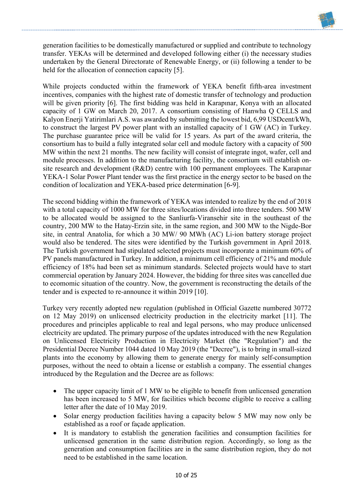generation facilities to be domestically manufactured or supplied and contribute to technology transfer. YEKAs will be determined and developed following either (i) the necessary studies undertaken by the General Directorate of Renewable Energy, or (ii) following a tender to be held for the allocation of connection capacity [5].

While projects conducted within the framework of YEKA benefit fifth-area investment incentives, companies with the highest rate of domestic transfer of technology and production will be given priority [6]. The first bidding was held in Karapınar, Konya with an allocated capacity of 1 GW on March 20, 2017. A consortium consisting of Hanwha Q CELLS and Kalyon Enerji Yatirimlari A.S. was awarded by submitting the lowest bid, 6,99 USDcent/kWh, to construct the largest PV power plant with an installed capacity of 1 GW (AC) in Turkey. The purchase guarantee price will be valid for 15 years. As part of the award criteria, the consortium has to build a fully integrated solar cell and module factory with a capacity of 500 MW within the next 21 months. The new facility will consist of integrate ingot, wafer, cell and module processes. In addition to the manufacturing facility, the consortium will establish onsite research and development (R&D) centre with 100 permanent employees. The Karapınar YEKA-1 Solar Power Plant tender was the first practice in the energy sector to be based on the condition of localization and YEKA-based price determination [6-9].

The second bidding within the framework of YEKA was intended to realize by the end of 2018 with a total capacity of 1000 MW for three sites/locations divided into three tenders. 500 MW to be allocated would be assigned to the Sanliurfa-Viransehir site in the southeast of the country, 200 MW to the Hatay-Erzin site, in the same region, and 300 MW to the Nigde-Bor site, in central Anatolia, for which a 30 MW/ 90 MWh (AC) Li-ion battery storage project would also be tendered. The sites were identified by the Turkish government in April 2018. The Turkish government had stipulated selected projects must incorporate a minimum 60% of PV panels manufactured in Turkey. In addition, a minimum cell efficiency of 21% and module efficiency of 18% had been set as minimum standards. Selected projects would have to start commercial operation by January 2024. However, the bidding for three sites was cancelled due to ecomomic situation of the country. Now, the government is reconstructing the details of the tender and is expected to re-announce it within 2019 [10].

Turkey very recently adopted new regulation (published in Official Gazette numbered 30772 on 12 May 2019) on unlicensed electricity production in the electricity market [11]. The procedures and principles applicable to real and legal persons, who may produce unlicensed electricity are updated. The primary purpose of the updates introduced with the new Regulation on Unlicensed Electricity Production in Electricity Market (the "Regulation") and the Presidential Decree Number 1044 dated 10 May 2019 (the "Decree"), is to bring in small-sized plants into the economy by allowing them to generate energy for mainly self-consumption purposes, without the need to obtain a license or establish a company. The essential changes introduced by the Regulation and the Decree are as follows:

- The upper capacity limit of 1 MW to be eligible to benefit from unlicensed generation has been increased to 5 MW, for facilities which become eligible to receive a calling letter after the date of 10 May 2019.
- Solar energy production facilities having a capacity below 5 MW may now only be established as a roof or façade application.
- It is mandatory to establish the generation facilities and consumption facilities for unlicensed generation in the same distribution region. Accordingly, so long as the generation and consumption facilities are in the same distribution region, they do not need to be established in the same location.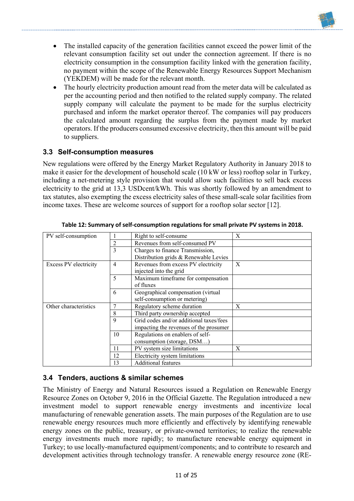

- The installed capacity of the generation facilities cannot exceed the power limit of the relevant consumption facility set out under the connection agreement. If there is no electricity consumption in the consumption facility linked with the generation facility, no payment within the scope of the Renewable Energy Resources Support Mechanism (YEKDEM) will be made for the relevant month.
- The hourly electricity production amount read from the meter data will be calculated as per the accounting period and then notified to the related supply company. The related supply company will calculate the payment to be made for the surplus electricity purchased and inform the market operator thereof. The companies will pay producers the calculated amount regarding the surplus from the payment made by market operators. If the producers consumed excessive electricity, then this amount will be paid to suppliers.

# **3.3 Self-consumption measures**

New regulations were offered by the Energy Market Regulatory Authority in January 2018 to make it easier for the development of household scale (10 kW or less) rooftop solar in Turkey, including a net-metering style provision that would allow such facilities to sell back excess electricity to the grid at 13,3 USDcent/kWh. This was shortly followed by an amendment to tax statutes, also exempting the excess electricity sales of these small-scale solar facilities from income taxes. These are welcome sources of support for a rooftop solar sector [12].

| PV self-consumption   |    | Right to self-consume                   | X |
|-----------------------|----|-----------------------------------------|---|
|                       | 2  | Revenues from self-consumed PV          |   |
|                       | 3  | Charges to finance Transmission,        |   |
|                       |    | Distribution grids & Renewable Levies   |   |
| Excess PV electricity | 4  | Revenues from excess PV electricity     | X |
|                       |    | injected into the grid                  |   |
|                       | 5  | Maximum timeframe for compensation      |   |
|                       |    | of fluxes                               |   |
| 6                     |    | Geographical compensation (virtual      |   |
|                       |    | self-consumption or metering)           |   |
| Other characteristics |    | Regulatory scheme duration              | X |
|                       | 8  | Third party ownership accepted          |   |
| 9                     |    | Grid codes and/or additional taxes/fees |   |
|                       |    | impacting the revenues of the prosumer  |   |
| 10                    |    | Regulations on enablers of self-        |   |
|                       |    | consumption (storage, DSM)              |   |
|                       | 11 | PV system size limitations              | X |
|                       | 12 | Electricity system limitations          |   |
|                       | 13 | <b>Additional features</b>              |   |

**Table 12: Summary of self-consumption regulations for small private PV systems in 2018.**

# **3.4 Tenders, auctions & similar schemes**

The Ministry of Energy and Natural Resources issued a Regulation on Renewable Energy Resource Zones on October 9, 2016 in the Official Gazette. The Regulation introduced a new investment model to support renewable energy investments and incentivize local manufacturing of renewable generation assets. The main purposes of the Regulation are to use renewable energy resources much more efficiently and effectively by identifying renewable energy zones on the public, treasury, or private-owned territories; to realize the renewable energy investments much more rapidly; to manufacture renewable energy equipment in Turkey; to use locally-manufactured equipment/components; and to contribute to research and development activities through technology transfer. A renewable energy resource zone (RE-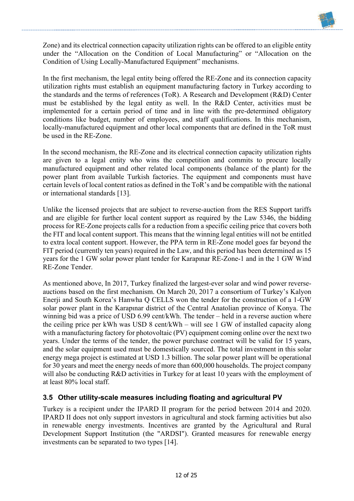

Zone) and its electrical connection capacity utilization rights can be offered to an eligible entity under the "Allocation on the Condition of Local Manufacturing" or "Allocation on the Condition of Using Locally-Manufactured Equipment" mechanisms.

In the first mechanism, the legal entity being offered the RE-Zone and its connection capacity utilization rights must establish an equipment manufacturing factory in Turkey according to the standards and the terms of references (ToR). A Research and Development (R&D) Center must be established by the legal entity as well. In the R&D Center, activities must be implemented for a certain period of time and in line with the pre-determined obligatory conditions like budget, number of employees, and staff qualifications. In this mechanism, locally-manufactured equipment and other local components that are defined in the ToR must be used in the RE-Zone.

In the second mechanism, the RE-Zone and its electrical connection capacity utilization rights are given to a legal entity who wins the competition and commits to procure locally manufactured equipment and other related local components (balance of the plant) for the power plant from available Turkish factories. The equipment and components must have certain levels of local content ratios as defined in the ToR's and be compatible with the national or international standards [13].

Unlike the licensed projects that are subject to reverse-auction from the RES Support tariffs and are eligible for further local content support as required by the Law 5346, the bidding process for RE-Zone projects calls for a reduction from a specific ceiling price that covers both the FIT and local content support. This means that the winning legal entities will not be entitled to extra local content support. However, the PPA term in RE-Zone model goes far beyond the FIT period (currently ten years) required in the Law, and this period has been determined as 15 years for the 1 GW solar power plant tender for Karapınar RE-Zone-1 and in the 1 GW Wind RE-Zone Tender.

As mentioned above, In 2017, Turkey finalized the largest-ever solar and wind power reverseauctions based on the first mechanism. On March 20, 2017 a consortium of Turkey's Kalyon Enerji and South Korea's Hanwha Q CELLS won the tender for the construction of a 1-GW solar power plant in the Karapınar district of the Central Anatolian province of Konya. The winning bid was a price of USD 6.99 cent/kWh. The tender – held in a reverse auction where the ceiling price per kWh was USD 8 cent/kWh – will see 1 GW of installed capacity along with a manufacturing factory for photovoltaic (PV) equipment coming online over the next two years. Under the terms of the tender, the power purchase contract will be valid for 15 years, and the solar equipment used must be domestically sourced. The total investment in this solar energy mega project is estimated at USD 1.3 billion. The solar power plant will be operational for 30 years and meet the energy needs of more than 600,000 households. The project company will also be conducting R&D activities in Turkey for at least 10 years with the employment of at least 80% local staff.

# **3.5 Other utility-scale measures including floating and agricultural PV**

Turkey is a recipient under the IPARD II program for the period between 2014 and 2020. IPARD II does not only support investors in agricultural and stock farming activities but also in renewable energy investments. Incentives are granted by the Agricultural and Rural Development Support Institution (the "ARDSI"). Granted measures for renewable energy investments can be separated to two types [14].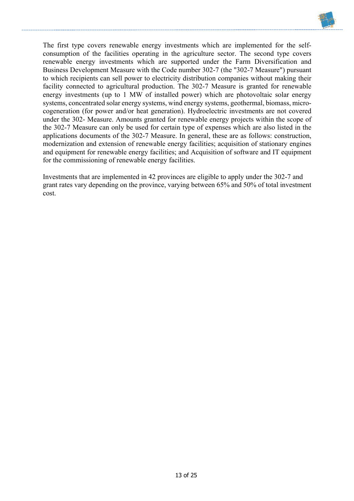

The first type covers renewable energy investments which are implemented for the selfconsumption of the facilities operating in the agriculture sector. The second type covers renewable energy investments which are supported under the Farm Diversification and Business Development Measure with the Code number 302-7 (the "302-7 Measure") pursuant to which recipients can sell power to electricity distribution companies without making their facility connected to agricultural production. The 302-7 Measure is granted for renewable energy investments (up to 1 MW of installed power) which are photovoltaic solar energy systems, concentrated solar energy systems, wind energy systems, geothermal, biomass, microcogeneration (for power and/or heat generation). Hydroelectric investments are not covered under the 302- Measure. Amounts granted for renewable energy projects within the scope of the 302-7 Measure can only be used for certain type of expenses which are also listed in the applications documents of the 302-7 Measure. In general, these are as follows: construction, modernization and extension of renewable energy facilities; acquisition of stationary engines and equipment for renewable energy facilities; and Acquisition of software and IT equipment for the commissioning of renewable energy facilities.

Investments that are implemented in 42 provinces are eligible to apply under the 302-7 and grant rates vary depending on the province, varying between 65% and 50% of total investment cost.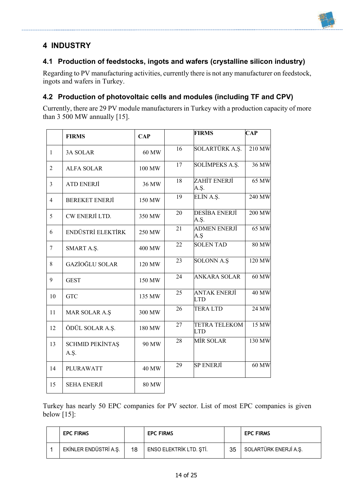# **4 INDUSTRY**

# **4.1 Production of feedstocks, ingots and wafers (crystalline silicon industry)**

Regarding to PV manufacturing activities, currently there is not any manufacturer on feedstock, ingots and wafers in Turkey.

# **4.2 Production of photovoltaic cells and modules (including TF and CPV)**

Currently, there are 29 PV module manufacturers in Turkey with a production capacity of more than 3 500 MW annually [15].

|                | <b>FIRMS</b>                   | <b>CAP</b>   |    | <b>FIRMS</b>                       | $\mathbf{CAP}$ |
|----------------|--------------------------------|--------------|----|------------------------------------|----------------|
| $\mathbf{1}$   | <b>3A SOLAR</b>                | 60 MW        | 16 | SOLARTÜRK A.Ş.                     | 210 MW         |
| $\overline{2}$ | <b>ALFA SOLAR</b>              | 100 MW       | 17 | <b>SOLİMPEKS A.Ş.</b>              | 36 MW          |
| 3              | ATD ENERJI                     | 36 MW        | 18 | ZAHİT ENERJİ<br>A.Ş.               | 65 MW          |
| $\overline{4}$ | <b>BEREKET ENERJİ</b>          | 150 MW       | 19 | ELİN A.Ş.                          | 240 MW         |
| 5              | CW ENERJİ LTD.                 | 350 MW       | 20 | DESİBA ENERJİ<br>A.Ş.              | 200 MW         |
| 6              | ENDÜSTRİ ELEKTİRK              | 250 MW       | 21 | ADMEN ENERJİ<br>A.Ş                | 65 MW          |
| 7              | SMART A.Ş.                     | 400 MW       | 22 | <b>SOLEN TAD</b>                   | <b>80 MW</b>   |
| 8              | <b>GAZİOĞLU SOLAR</b>          | 120 MW       | 23 | <b>SOLONN A.Ş</b>                  | 120 MW         |
| 9              | <b>GEST</b>                    | 150 MW       | 24 | <b>ANKARA SOLAR</b>                | 60 MW          |
| 10             | <b>GTC</b>                     | 135 MW       | 25 | <b>ANTAK ENERJİ</b><br><b>LTD</b>  | <b>40 MW</b>   |
| 11             | MAR SOLAR A.Ş                  | 300 MW       | 26 | <b>TERALTD</b>                     | 24 MW          |
| 12             | ÖDÜL SOLAR A.Ş.                | 180 MW       | 27 | <b>TETRA TELEKOM</b><br><b>LTD</b> | 15 MW          |
| 13             | <b>SCHMID PEKİNTAŞ</b><br>A.Ş. | 90 MW        | 28 | MİR SOLAR                          | 130 MW         |
| 14             | PLURAWATT                      | <b>40 MW</b> | 29 | <b>SP ENERJI</b>                   | 60 MW          |
| 15             | <b>SEHA ENERJİ</b>             | <b>80 MW</b> |    |                                    |                |

Turkey has nearly 50 EPC companies for PV sector. List of most EPC companies is given below [15]:

| <b>EPC FIRMS</b>      |    | <b>EPC FIRMS</b>        |    | <b>EPC FIRMS</b>      |
|-----------------------|----|-------------------------|----|-----------------------|
| EKİNLER ENDÜSTRİ A.Ş. | 18 | ENSO ELEKTRİK LTD. ŞTİ. | 35 | SOLARTÜRK ENERJİ A.Ş. |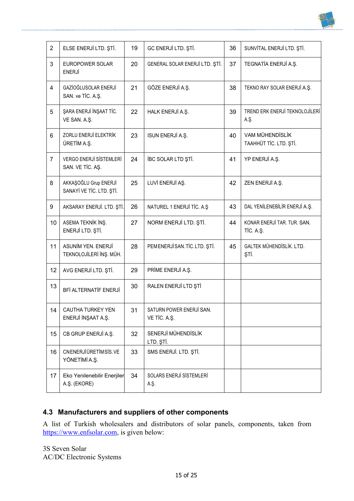

# **4.3 Manufacturers and suppliers of other components**

A list of Turkish wholesalers and distributors of solar panels, components, taken from https://www.enfsolar.com, is given below:

3S Seven Solar AC/DC Electronic Systems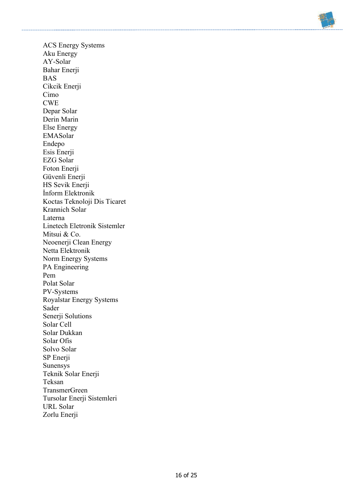

ACS Energy Systems Aku Energy AY-Solar Bahar Enerii BAS Cikcik Enerji Cimo CWE Depar Solar Derin Marin Else Energy EMASolar Endepo Esis Enerji EZG Solar Foton Enerji Güvenli Enerji HS Sevik Enerji İnform Elektronik Koctas Teknoloji Dis Ticaret Krannich Solar Laterna Linetech Eletronik Sistemler Mitsui & Co. Neoenerji Clean Energy Netta Elektronik Norm Energy Systems PA Engineering Pem Polat Solar PV-Systems Royalstar Energy Systems Sader Senerji Solutions Solar Cell Solar Dukkan Solar Ofis Solvo Solar SP Enerji Sunensys Teknik Solar Enerji Teksan TransmerGreen Tursolar Enerji Sistemleri URL Solar Zorlu Enerji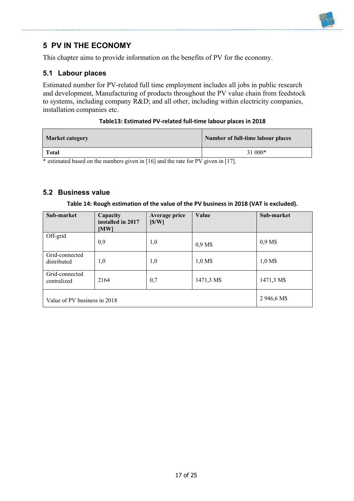# **5 PV IN THE ECONOMY**

This chapter aims to provide information on the benefits of PV for the economy.

#### **5.1 Labour places**

Estimated number for PV-related full time employment includes all jobs in public research and development, Manufacturing of products throughout the PV value chain from feedstock to systems, including company R&D; and all other, including within electricity companies, installation companies etc.

#### **Table13: Estimated PV-related full-time labour places in 2018**

| <b>Market category</b> | Number of full-time labour places |
|------------------------|-----------------------------------|
| <b>Total</b>           | $31000*$                          |

\* estimated based on the numbers given in [16] and the rate for PV given in [17].

### **5.2 Business value**

#### **Table 14: Rough estimation of the value of the PV business in 2018 (VAT is excluded).**

| Sub-market                    | Capacity<br>installed in 2017<br>[MW] | Average price<br>[S/W] | Value            | Sub-market |
|-------------------------------|---------------------------------------|------------------------|------------------|------------|
| Off-grid                      | 0,9                                   | 1,0                    | 0.9 <sub>M</sub> | 0,9 M\$    |
| Grid-connected<br>distributed | 1,0                                   | 1,0                    | $1,0$ M\$        | 1,0 M\$    |
| Grid-connected<br>centralized | 2164                                  | 0,7                    | 1471,3 M\$       | 1471,3 M\$ |
| Value of PV business in 2018  | 2 946,6 M\$                           |                        |                  |            |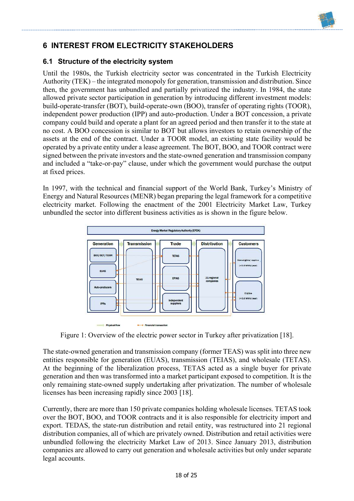# **6 INTEREST FROM ELECTRICITY STAKEHOLDERS**

# **6.1 Structure of the electricity system**

Until the 1980s, the Turkish electricity sector was concentrated in the Turkish Electricity Authority (TEK) – the integrated monopoly for generation, transmission and distribution. Since then, the government has unbundled and partially privatized the industry. In 1984, the state allowed private sector participation in generation by introducing different investment models: build-operate-transfer (BOT), build-operate-own (BOO), transfer of operating rights (TOOR), independent power production (IPP) and auto-production. Under a BOT concession, a private company could build and operate a plant for an agreed period and then transfer it to the state at no cost. A BOO concession is similar to BOT but allows investors to retain ownership of the assets at the end of the contract. Under a TOOR model, an existing state facility would be operated by a private entity under a lease agreement. The BOT, BOO, and TOOR contract were signed between the private investors and the state-owned generation and transmission company and included a "take-or-pay" clause, under which the government would purchase the output at fixed prices.

In 1997, with the technical and financial support of the World Bank, Turkey's Ministry of Energy and Natural Resources (MENR) began preparing the legal framework for a competitive electricity market. Following the enactment of the 2001 Electricity Market Law, Turkey unbundled the sector into different business activities as is shown in the figure below.



Figure 1: Overview of the electric power sector in Turkey after privatization [18].

The state-owned generation and transmission company (former TEAS) was split into three new entities responsible for generation (EUAS), transmission (TEIAS), and wholesale (TETAS). At the beginning of the liberalization process, TETAS acted as a single buyer for private generation and then was transformed into a market participant exposed to competition. It is the only remaining state-owned supply undertaking after privatization. The number of wholesale licenses has been increasing rapidly since 2003 [18].

Currently, there are more than 150 private companies holding wholesale licenses. TETAS took over the BOT, BOO, and TOOR contracts and it is also responsible for electricity import and export. TEDAS, the state-run distribution and retail entity, was restructured into 21 regional distribution companies, all of which are privately owned. Distribution and retail activities were unbundled following the electricity Market Law of 2013. Since January 2013, distribution companies are allowed to carry out generation and wholesale activities but only under separate legal accounts.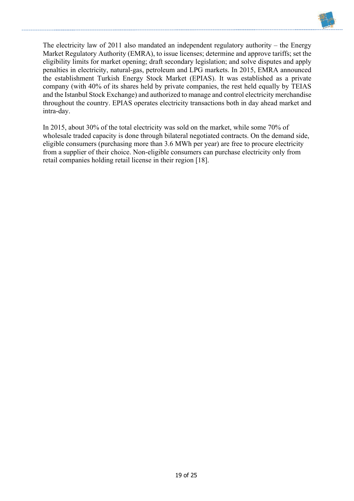

The electricity law of 2011 also mandated an independent regulatory authority – the Energy Market Regulatory Authority (EMRA), to issue licenses; determine and approve tariffs; set the eligibility limits for market opening; draft secondary legislation; and solve disputes and apply penalties in electricity, natural-gas, petroleum and LPG markets. In 2015, EMRA announced the establishment Turkish Energy Stock Market (EPIAS). It was established as a private company (with 40% of its shares held by private companies, the rest held equally by TEIAS and the Istanbul Stock Exchange) and authorized to manage and control electricity merchandise throughout the country. EPIAS operates electricity transactions both in day ahead market and intra-day.

In 2015, about 30% of the total electricity was sold on the market, while some 70% of wholesale traded capacity is done through bilateral negotiated contracts. On the demand side, eligible consumers (purchasing more than 3.6 MWh per year) are free to procure electricity from a supplier of their choice. Non-eligible consumers can purchase electricity only from retail companies holding retail license in their region [18].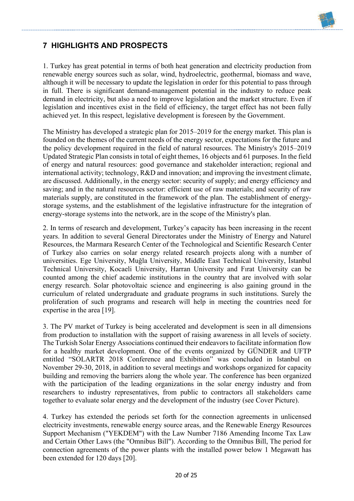

# **7 HIGHLIGHTS AND PROSPECTS**

1. Turkey has great potential in terms of both heat generation and electricity production from renewable energy sources such as solar, wind, hydroelectric, geothermal, biomass and wave, although it will be necessary to update the legislation in order for this potential to pass through in full. There is significant demand-management potential in the industry to reduce peak demand in electricity, but also a need to improve legislation and the market structure. Even if legislation and incentives exist in the field of efficiency, the target effect has not been fully achieved yet. In this respect, legislative development is foreseen by the Government.

The Ministry has developed a strategic plan for 2015–2019 for the energy market. This plan is founded on the themes of the current needs of the energy sector, expectations for the future and the policy development required in the field of natural resources. The Ministry's 2015–2019 Updated Strategic Plan consists in total of eight themes, 16 objects and 61 purposes. In the field of energy and natural resources: good governance and stakeholder interaction; regional and international activity; technology, R&D and innovation; and improving the investment climate, are discussed. Additionally, in the energy sector: security of supply; and energy efficiency and saving; and in the natural resources sector: efficient use of raw materials; and security of raw materials supply, are constituted in the framework of the plan. The establishment of energystorage systems, and the establishment of the legislative infrastructure for the integration of energy-storage systems into the network, are in the scope of the Ministry's plan.

2. In terms of research and development, Turkey's capacity has been increasing in the recent years. In addition to several General Directorates under the Ministry of Energy and Naturel Resources, the Marmara Research Center of the Technological and Scientific Research Center of Turkey also carries on solar energy related research projects along with a number of universities. Ege University, Muğla University, Middle East Technical University, İstanbul Technical University, Kocaeli University, Harran University and Fırat University can be counted among the chief academic institutions in the country that are involved with solar energy research. Solar photovoltaic science and engineering is also gaining ground in the curriculum of related undergraduate and graduate programs in such institutions. Surely the proliferation of such programs and research will help in meeting the countries need for expertise in the area [19].

3. The PV market of Turkey is being accelerated and development is seen in all dimensions from production to installation with the support of raising awareness in all levels of society. The Turkish Solar Energy Associations continued their endeavors to facilitate information flow for a healthy market development. One of the events organized by GÜNDER and UFTP entitled "SOLARTR 2018 Conference and Exhibition" was concluded in Istanbul on November 29-30, 2018, in addition to several meetings and workshops organized for capacity building and removing the barriers along the whole year. The conference has been organized with the participation of the leading organizations in the solar energy industry and from researchers to industry representatives, from public to contractors all stakeholders came together to evaluate solar energy and the development of the industry (see Cover Picture).

4. Turkey has extended the periods set forth for the connection agreements in unlicensed electricity investments, renewable energy source areas, and the Renewable Energy Resources Support Mechanism ("YEKDEM") with the Law Number 7186 Amending Income Tax Law and Certain Other Laws (the "Omnibus Bill"). According to the Omnibus Bill, The period for connection agreements of the power plants with the installed power below 1 Megawatt has been extended for 120 days [20].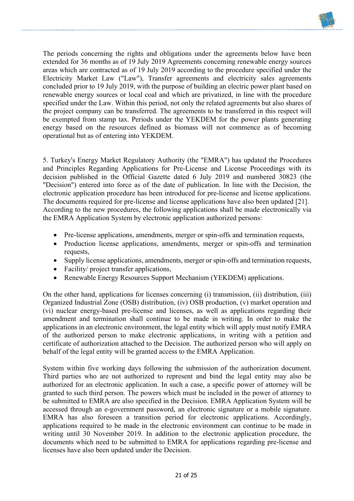

The periods concerning the rights and obligations under the agreements below have been extended for 36 months as of 19 July 2019 Agreements concerning renewable energy sources areas which are contracted as of 19 July 2019 according to the procedure specified under the Electricity Market Law ("Law"), Transfer agreements and electricity sales agreements concluded prior to 19 July 2019, with the purpose of building an electric power plant based on renewable energy sources or local coal and which are privatized, in line with the procedure specified under the Law. Within this period, not only the related agreements but also shares of the project company can be transferred. The agreements to be transferred in this respect will be exempted from stamp tax. Periods under the YEKDEM for the power plants generating energy based on the resources defined as biomass will not commence as of becoming operational but as of entering into YEKDEM.

5. Turkey's Energy Market Regulatory Authority (the "EMRA") has updated the Procedures and Principles Regarding Applications for Pre-License and License Proceedings with its decision published in the Official Gazette dated 6 July 2019 and numbered 30823 (the "Decision") entered into force as of the date of publication. In line with the Decision, the electronic application procedure has been introduced for pre-license and license applications. The documents required for pre-license and license applications have also been updated [21]. According to the new procedures, the following applications shall be made electronically via the EMRA Application System by electronic application authorized persons:

- Pre-license applications, amendments, merger or spin-offs and termination requests,
- Production license applications, amendments, merger or spin-offs and termination requests,
- Supply license applications, amendments, merger or spin-offs and termination requests,
- Facility/ project transfer applications,
- Renewable Energy Resources Support Mechanism (YEKDEM) applications.

On the other hand, applications for licenses concerning (i) transmission, (ii) distribution, (iii) Organized Industrial Zone (OSB) distribution, (iv) OSB production, (v) market operation and (vi) nuclear energy-based pre-license and licenses, as well as applications regarding their amendment and termination shall continue to be made in writing. In order to make the applications in an electronic environment, the legal entity which will apply must notify EMRA of the authorized person to make electronic applications, in writing with a petition and certificate of authorization attached to the Decision. The authorized person who will apply on behalf of the legal entity will be granted access to the EMRA Application.

System within five working days following the submission of the authorization document. Third parties who are not authorized to represent and bind the legal entity may also be authorized for an electronic application. In such a case, a specific power of attorney will be granted to such third person. The powers which must be included in the power of attorney to be submitted to EMRA are also specified in the Decision. EMRA Application System will be accessed through an e-government password, an electronic signature or a mobile signature. EMRA has also foreseen a transition period for electronic applications. Accordingly, applications required to be made in the electronic environment can continue to be made in writing until 30 November 2019. In addition to the electronic application procedure, the documents which need to be submitted to EMRA for applications regarding pre-license and licenses have also been updated under the Decision.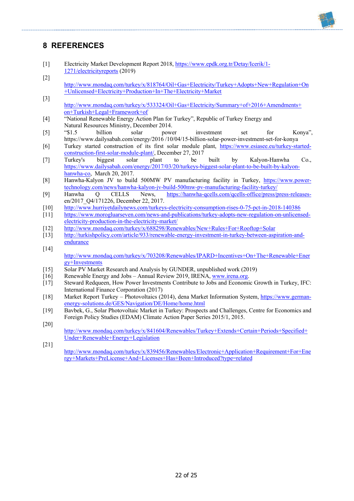

# **8 REFERENCES**

- [1]Electricity Market Development Report 2018, https://www.epdk.org.tr/Detay/Icerik/1- 1271/electricityreports (2019)
- [2] http://www.mondaq.com/turkey/x/818764/Oil+Gas+Electricity/Turkey+Adopts+New+Regulation+On +Unlicensed+Electricity+Production+In+The+Electricity+Market
- [3] http://www.mondaq.com/turkey/x/533324/Oil+Gas+Electricity/Summary+of+2016+Amendments+ on+Turkish+Legal+Framework+of
- [4] "National Renewable Energy Action Plan for Turkey", Republic of Turkey Energy and Natural Resources Ministry, December 2014.
- [5] "\$1.5 billion solar power investment set for Konya", https://www.dailysabah.com/energy/2016 /10/04/15-billion-solar-power-investment-set-for-konya
- [6] Turkey started construction of its first solar module plant, https://www.esiasee.eu/turkey-startedconstruction-first-solar-module-plant/, December 27, 2017
- [7] Turkey's biggest solar plant to be built by Kalyon-Hanwha Co., https://www.dailysabah.com/energy/2017/03/20/turkeys-biggest-solar-plant-to-be-built-by-kalyonhanwha-co, March 20, 2017.
- [8] Hanwha-Kalyon JV to build 500MW PV manufacturing facility in Turkey, https://www.powertechnology.com/news/hanwha-kalyon-jv-build-500mw-pv-manufacturing-facility-turkey/
- [9] Hanwha Q CELLS News, https://hanwha-qcells.com/qcells-office/press/press-releasesen/2017\_O4/171226, December 22, 2017.
- [10] http://www.hurriyetdailynews.com/turkeys-electricity-consumption-rises-0-75-pct-in-2018-140386<br>[11] https://www.morogluarseven.com/news-and-publications/turkey-adopts-new-regulation-on-unlicens
- https://www.morogluarseven.com/news-and-publications/turkey-adopts-new-regulation-on-unlicensedelectricity-production-in-the-electricity-market/
- [12] http://www.mondaq.com/turkey/x/688298/Renewables/New+Rules+For+Rooftop+Solar
- [13] http://turkishpolicy.com/article/933/renewable-energy-investment-in-turkey-between-aspiration-andendurance
- [14] http://www.mondaq.com/turkey/x/703208/Renewables/IPARD+Incentives+On+The+Renewable+Ener gy+Investments
- [15] Solar PV Market Research and Analysis by GUNDER, unpublished work (2019)
- [16] Renewable Energy and Jobs Annual Review 2019, IRENA, www.irena.org.
- [17] Steward Redqueen, How Power Investments Contribute to Jobs and Economic Growth in Turkey, IFC: International Finance Corporation (2017)
- [18] Market Report Turkey Photovoltaics (2014), dena Market Information System, https://www.germanenergy-solutions.de/GES/Navigation/DE/Home/home.html
- [19] Bavbek, G., Solar Photovoltaic Market in Turkey: Prospects and Challenges, Centre for Economics and Foreign Policy Studies (EDAM) Climate Action Paper Series 2015/1, 2015. [20]
- http://www.mondaq.com/turkey/x/841604/Renewables/Turkey+Extends+Certain+Periods+Specified+ Under+Renewable+Energy+Legislation
- [21] http://www.mondaq.com/turkey/x/839456/Renewables/Electronic+Application+Requirement+For+Ene rgy+Markets+PreLicense+And+Licenses+Has+Been+Introduced?type=related